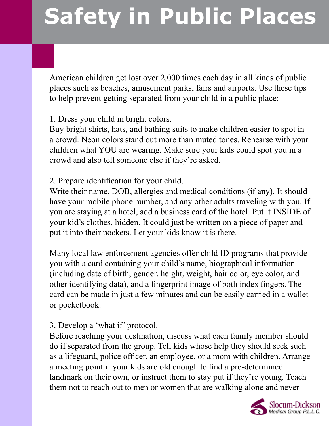## **Safety in Public Places**

American children get lost over 2,000 times each day in all kinds of public places such as beaches, amusement parks, fairs and airports. Use these tips to help prevent getting separated from your child in a public place:

1. Dress your child in bright colors.

Buy bright shirts, hats, and bathing suits to make children easier to spot in a crowd. Neon colors stand out more than muted tones. Rehearse with your children what YOU are wearing. Make sure your kids could spot you in a crowd and also tell someone else if they're asked.

2. Prepare identification for your child.

Write their name, DOB, allergies and medical conditions (if any). It should have your mobile phone number, and any other adults traveling with you. If you are staying at a hotel, add a business card of the hotel. Put it INSIDE of your kid's clothes, hidden. It could just be written on a piece of paper and put it into their pockets. Let your kids know it is there.

Many local law enforcement agencies offer child ID programs that provide you with a card containing your child's name, biographical information (including date of birth, gender, height, weight, hair color, eye color, and other identifying data), and a fingerprint image of both index fingers. The card can be made in just a few minutes and can be easily carried in a wallet or pocketbook.

## 3. Develop a 'what if' protocol.

Before reaching your destination, discuss what each family member should do if separated from the group. Tell kids whose help they should seek such as a lifeguard, police officer, an employee, or a mom with children. Arrange a meeting point if your kids are old enough to find a pre-determined landmark on their own, or instruct them to stay put if they're young. Teach them not to reach out to men or women that are walking alone and never